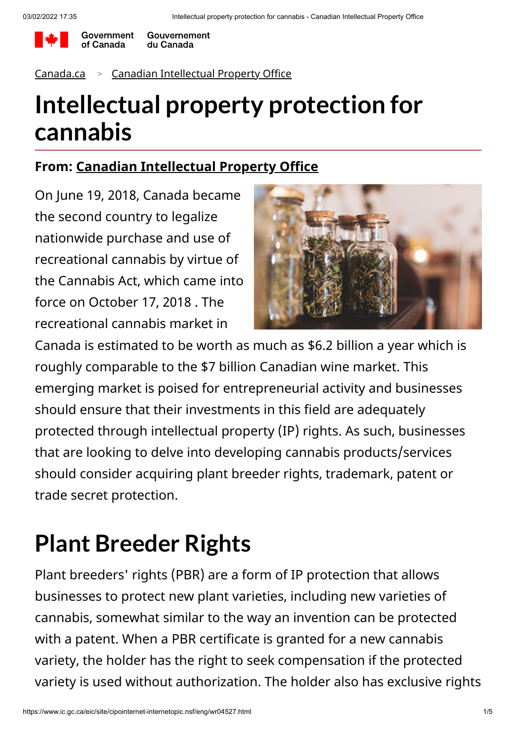

Government Gouvernement du Canada

#### [Canada.ca](https://www.canada.ca/en.html) <sup>&</sup>gt; [Canadian Intellectual Property Office](https://www.ic.gc.ca/eic/site/cipointernet-internetopic.nsf/eng/home)

## **Intellectual property protection for cannabis**

#### **From: [Canadian Intellectual Property Office](https://www.ic.gc.ca/eic/site/cipointernet-internetopic.nsf/eng/home)**

On June 19, 2018, Canada became the second country to legalize nationwide purchase and use of recreational cannabis by virtue of the Cannabis Act, which came into force on October 17, 2018 . The recreational cannabis market in



Canada is estimated to be worth as much as \$6.2 billion a year which is roughly comparable to the \$7 billion Canadian wine market. This emerging market is poised for entrepreneurial activity and businesses should ensure that their investments in this field are adequately protected through intellectual property (IP) rights. As such, businesses that are looking to delve into developing cannabis products/services should consider acquiring plant breeder rights, trademark, patent or trade secret protection.

## **Plant Breeder Rights**

Plant breeders' rights (PBR) are a form of IP protection that allows businesses to protect new plant varieties, including new varieties of cannabis, somewhat similar to the way an invention can be protected with a patent. When a PBR certificate is granted for a new cannabis variety, the holder has the right to seek compensation if the protected variety is used without authorization. The holder also has exclusive rights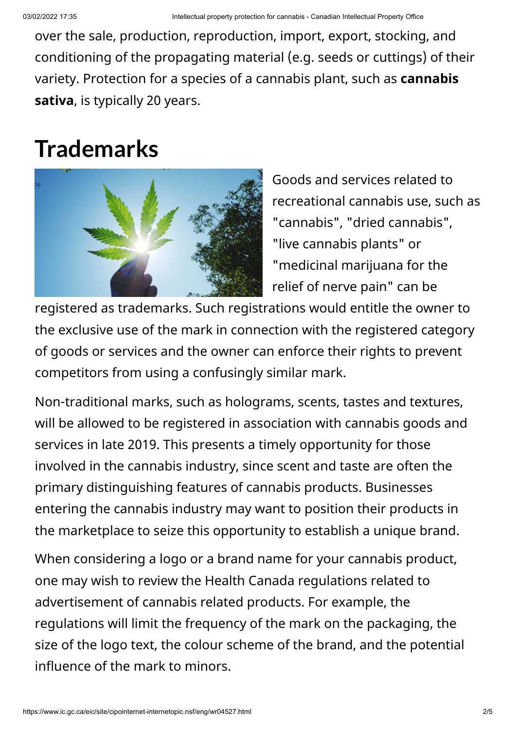over the sale, production, reproduction, import, export, stocking, and conditioning of the propagating material (e.g. seeds or cuttings) of their variety. Protection for a species of a cannabis plant, such as **cannabis sativa**, is typically 20 years.

### **Trademarks**



Goods and services related to recreational cannabis use, such as "cannabis", "dried cannabis", "live cannabis plants" or "medicinal marijuana for the relief of nerve pain" can be

registered as trademarks. Such registrations would entitle the owner to the exclusive use of the mark in connection with the registered category of goods or services and the owner can enforce their rights to prevent competitors from using a confusingly similar mark.

Non-traditional marks, such as holograms, scents, tastes and textures, will be allowed to be registered in association with cannabis goods and services in late 2019. This presents a timely opportunity for those involved in the cannabis industry, since scent and taste are often the primary distinguishing features of cannabis products. Businesses entering the cannabis industry may want to position their products in the marketplace to seize this opportunity to establish a unique brand.

When considering a logo or a brand name for your cannabis product, one may wish to review the Health Canada regulations related to advertisement of cannabis related products. For example, the regulations will limit the frequency of the mark on the packaging, the size of the logo text, the colour scheme of the brand, and the potential influence of the mark to minors.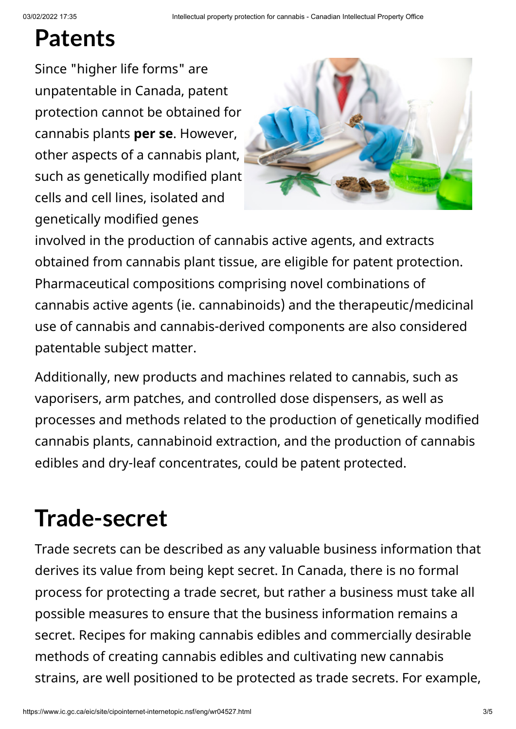### **Patents**

Since "higher life forms" are unpatentable in Canada, patent protection cannot be obtained for cannabis plants **per se**. However, other aspects of a cannabis plant, such as genetically modified plant cells and cell lines, isolated and genetically modified genes



involved in the production of cannabis active agents, and extracts obtained from cannabis plant tissue, are eligible for patent protection. Pharmaceutical compositions comprising novel combinations of cannabis active agents (ie. cannabinoids) and the therapeutic/medicinal use of cannabis and cannabis-derived components are also considered patentable subject matter.

Additionally, new products and machines related to cannabis, such as vaporisers, arm patches, and controlled dose dispensers, as well as processes and methods related to the production of genetically modified cannabis plants, cannabinoid extraction, and the production of cannabis edibles and dry-leaf concentrates, could be patent protected.

# **Trade-secret**

Trade secrets can be described as any valuable business information that derives its value from being kept secret. In Canada, there is no formal process for protecting a trade secret, but rather a business must take all possible measures to ensure that the business information remains a secret. Recipes for making cannabis edibles and commercially desirable methods of creating cannabis edibles and cultivating new cannabis strains, are well positioned to be protected as trade secrets. For example,